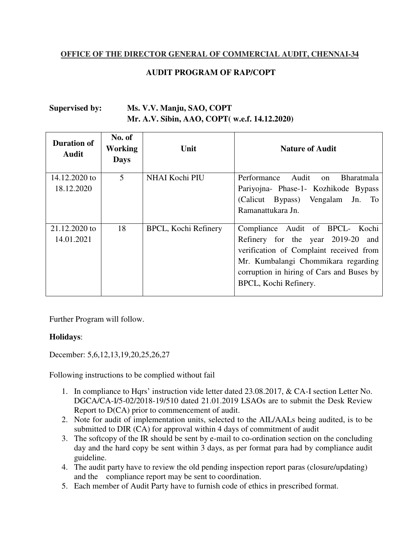## **OFFICE OF THE DIRECTOR GENERAL OF COMMERCIAL AUDIT, CHENNAI-34**

## **AUDIT PROGRAM OF RAP/COPT**

## **Supervised by: Ms. V.V. Manju, SAO, COPT Mr. A.V. Sibin, AAO, COPT( w.e.f. 14.12.2020)**

| <b>Duration of</b><br>Audit | No. of<br><b>Working</b><br><b>Days</b> | Unit                 | <b>Nature of Audit</b>                                                                                                                                                                                                          |
|-----------------------------|-----------------------------------------|----------------------|---------------------------------------------------------------------------------------------------------------------------------------------------------------------------------------------------------------------------------|
| 14.12.2020 to<br>18.12.2020 | 5                                       | NHAI Kochi PIU       | Audit<br><b>Bharatmala</b><br>Performance<br>on<br>Pariyojna- Phase-1- Kozhikode Bypass<br>(Calicut Bypass) Vengalam Jn.<br><b>To</b><br>Ramanattukara Jn.                                                                      |
| 21.12.2020 to<br>14.01.2021 | 18                                      | BPCL, Kochi Refinery | Compliance Audit of BPCL- Kochi<br>Refinery for the year 2019-20<br>and<br>verification of Complaint received from<br>Mr. Kumbalangi Chommikara regarding<br>corruption in hiring of Cars and Buses by<br>BPCL, Kochi Refinery. |

Further Program will follow.

## **Holidays**:

December: 5,6,12,13,19,20,25,26,27

Following instructions to be complied without fail

- 1. In compliance to Hqrs' instruction vide letter dated 23.08.2017, & CA-I section Letter No. DGCA/CA-I/5-02/2018-19/510 dated 21.01.2019 LSAOs are to submit the Desk Review Report to D(CA) prior to commencement of audit.
- 2. Note for audit of implementation units, selected to the AIL/AALs being audited, is to be submitted to DIR (CA) for approval within 4 days of commitment of audit
- 3. The softcopy of the IR should be sent by e-mail to co-ordination section on the concluding day and the hard copy be sent within 3 days, as per format para had by compliance audit guideline.
- 4. The audit party have to review the old pending inspection report paras (closure/updating) and the compliance report may be sent to coordination.
- 5. Each member of Audit Party have to furnish code of ethics in prescribed format.